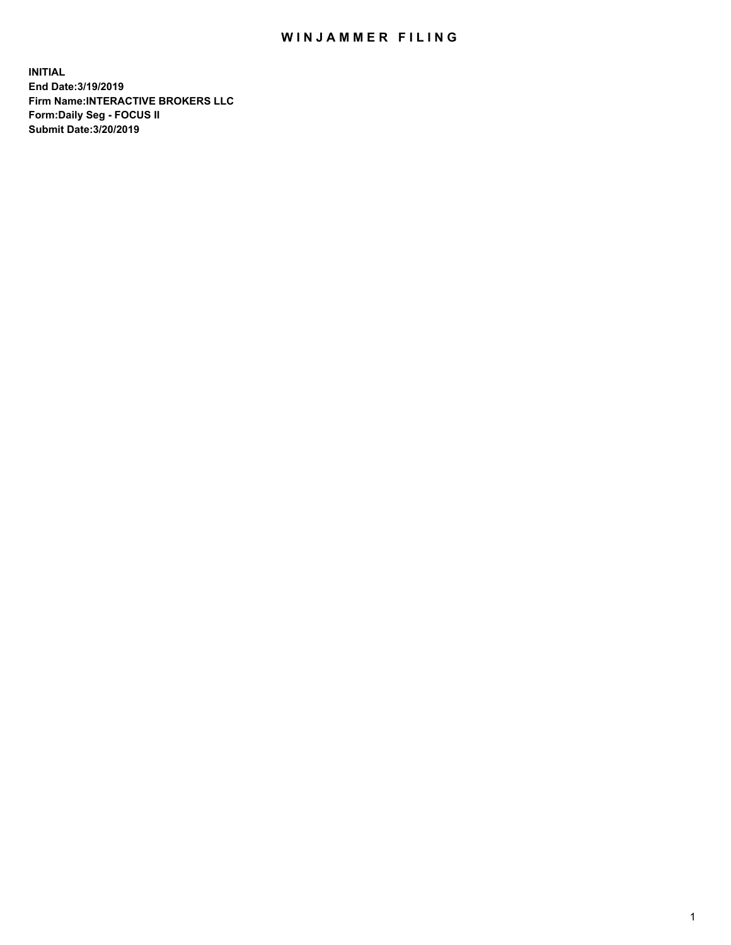## WIN JAMMER FILING

**INITIAL End Date:3/19/2019 Firm Name:INTERACTIVE BROKERS LLC Form:Daily Seg - FOCUS II Submit Date:3/20/2019**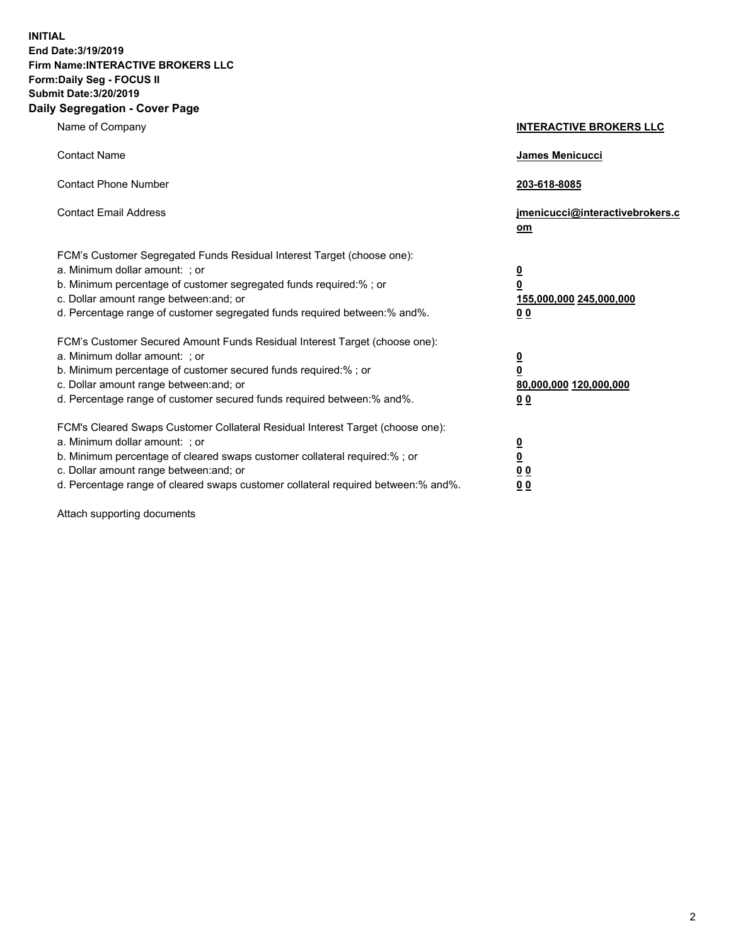**INITIAL End Date:3/19/2019 Firm Name:INTERACTIVE BROKERS LLC Form:Daily Seg - FOCUS II Submit Date:3/20/2019 Daily Segregation - Cover Page**

| Name of Company                                                                                                                                                                                                                                                                                                                | <b>INTERACTIVE BROKERS LLC</b>                                                                  |
|--------------------------------------------------------------------------------------------------------------------------------------------------------------------------------------------------------------------------------------------------------------------------------------------------------------------------------|-------------------------------------------------------------------------------------------------|
| <b>Contact Name</b>                                                                                                                                                                                                                                                                                                            | James Menicucci                                                                                 |
| <b>Contact Phone Number</b>                                                                                                                                                                                                                                                                                                    | 203-618-8085                                                                                    |
| <b>Contact Email Address</b>                                                                                                                                                                                                                                                                                                   | jmenicucci@interactivebrokers.c<br>om                                                           |
| FCM's Customer Segregated Funds Residual Interest Target (choose one):<br>a. Minimum dollar amount: ; or<br>b. Minimum percentage of customer segregated funds required:% ; or<br>c. Dollar amount range between: and; or<br>d. Percentage range of customer segregated funds required between:% and%.                         | $\overline{\mathbf{0}}$<br>$\overline{\mathbf{0}}$<br>155,000,000 245,000,000<br>0 <sub>0</sub> |
| FCM's Customer Secured Amount Funds Residual Interest Target (choose one):<br>a. Minimum dollar amount: ; or<br>b. Minimum percentage of customer secured funds required:% ; or<br>c. Dollar amount range between: and; or<br>d. Percentage range of customer secured funds required between:% and%.                           | $\overline{\mathbf{0}}$<br>0<br>80,000,000 120,000,000<br>0 <sub>0</sub>                        |
| FCM's Cleared Swaps Customer Collateral Residual Interest Target (choose one):<br>a. Minimum dollar amount: ; or<br>b. Minimum percentage of cleared swaps customer collateral required:% ; or<br>c. Dollar amount range between: and; or<br>d. Percentage range of cleared swaps customer collateral required between:% and%. | $\overline{\mathbf{0}}$<br><u>0</u><br>$\underline{0}$ $\underline{0}$<br>00                    |

Attach supporting documents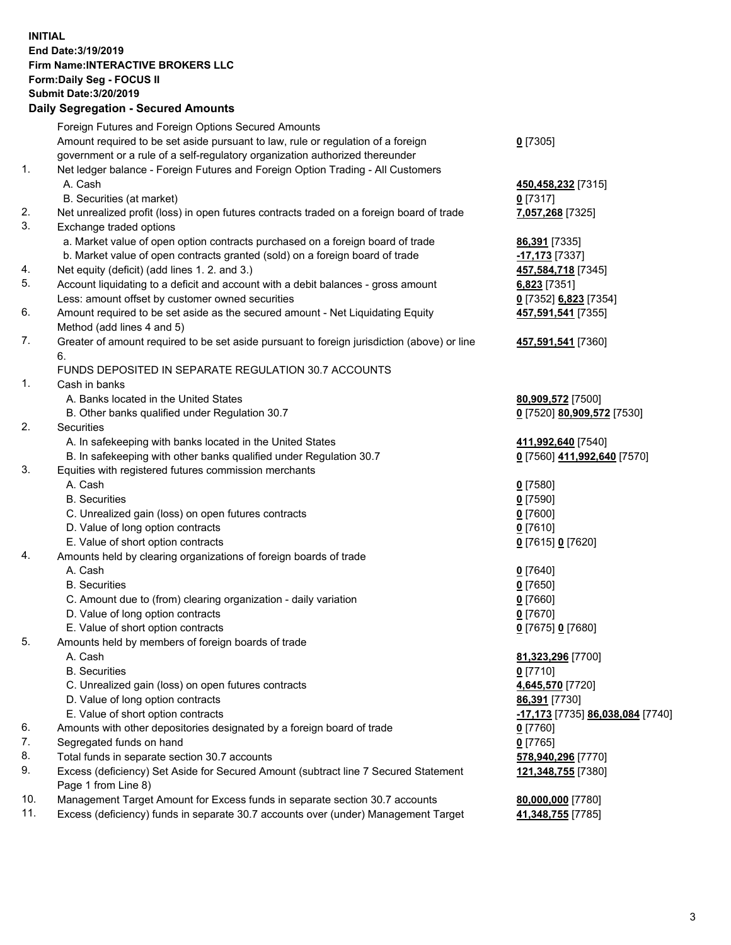## **INITIAL End Date:3/19/2019 Firm Name:INTERACTIVE BROKERS LLC Form:Daily Seg - FOCUS II Submit Date:3/20/2019 Daily Segregation - Secured Amounts**

|                | Daily Ocglegation - Occuled Aniounts                                                        |                                  |
|----------------|---------------------------------------------------------------------------------------------|----------------------------------|
|                | Foreign Futures and Foreign Options Secured Amounts                                         |                                  |
|                | Amount required to be set aside pursuant to law, rule or regulation of a foreign            | $0$ [7305]                       |
|                | government or a rule of a self-regulatory organization authorized thereunder                |                                  |
| $\mathbf{1}$ . | Net ledger balance - Foreign Futures and Foreign Option Trading - All Customers             |                                  |
|                | A. Cash                                                                                     | 450,458,232 [7315]               |
|                | B. Securities (at market)                                                                   | $0$ [7317]                       |
| 2.             | Net unrealized profit (loss) in open futures contracts traded on a foreign board of trade   | 7,057,268 [7325]                 |
| 3.             | Exchange traded options                                                                     |                                  |
|                | a. Market value of open option contracts purchased on a foreign board of trade              | 86,391 [7335]                    |
|                | b. Market value of open contracts granted (sold) on a foreign board of trade                | -17,173 [7337]                   |
| 4.             | Net equity (deficit) (add lines 1. 2. and 3.)                                               | 457,584,718 [7345]               |
| 5.             | Account liquidating to a deficit and account with a debit balances - gross amount           | 6,823 [7351]                     |
|                | Less: amount offset by customer owned securities                                            | 0 [7352] 6,823 [7354]            |
| 6.             | Amount required to be set aside as the secured amount - Net Liquidating Equity              | 457,591,541 [7355]               |
|                | Method (add lines 4 and 5)                                                                  |                                  |
| 7.             | Greater of amount required to be set aside pursuant to foreign jurisdiction (above) or line | 457,591,541 [7360]               |
|                | 6.                                                                                          |                                  |
|                | FUNDS DEPOSITED IN SEPARATE REGULATION 30.7 ACCOUNTS                                        |                                  |
| $\mathbf{1}$ . | Cash in banks                                                                               |                                  |
|                | A. Banks located in the United States                                                       | 80,909,572 [7500]                |
|                | B. Other banks qualified under Regulation 30.7                                              | 0 [7520] 80,909,572 [7530]       |
| 2.             | Securities                                                                                  |                                  |
|                | A. In safekeeping with banks located in the United States                                   | 411,992,640 [7540]               |
|                | B. In safekeeping with other banks qualified under Regulation 30.7                          | 0 [7560] 411,992,640 [7570]      |
| 3.             | Equities with registered futures commission merchants                                       |                                  |
|                | A. Cash                                                                                     | $0$ [7580]                       |
|                | <b>B.</b> Securities                                                                        | $0$ [7590]                       |
|                | C. Unrealized gain (loss) on open futures contracts                                         | $0$ [7600]                       |
|                | D. Value of long option contracts                                                           | $0$ [7610]                       |
|                | E. Value of short option contracts                                                          | 0 [7615] 0 [7620]                |
| 4.             | Amounts held by clearing organizations of foreign boards of trade                           |                                  |
|                | A. Cash                                                                                     | $0$ [7640]                       |
|                | <b>B.</b> Securities                                                                        | $0$ [7650]                       |
|                | C. Amount due to (from) clearing organization - daily variation                             | $0$ [7660]                       |
|                | D. Value of long option contracts                                                           | $0$ [7670]                       |
|                | E. Value of short option contracts                                                          | 0 [7675] 0 [7680]                |
| 5.             | Amounts held by members of foreign boards of trade                                          |                                  |
|                | A. Cash                                                                                     | 81,323,296 [7700]                |
|                | <b>B.</b> Securities                                                                        | $0$ [7710]                       |
|                | C. Unrealized gain (loss) on open futures contracts                                         | 4,645,570 [7720]                 |
|                | D. Value of long option contracts                                                           | <b>86,391</b> [7730]             |
|                | E. Value of short option contracts                                                          | -17,173 [7735] 86,038,084 [7740] |
| 6.             | Amounts with other depositories designated by a foreign board of trade                      | 0 [7760]                         |
| 7.             | Segregated funds on hand                                                                    | $0$ [7765]                       |
| 8.             | Total funds in separate section 30.7 accounts                                               | 578,940,296 [7770]               |
| 9.             | Excess (deficiency) Set Aside for Secured Amount (subtract line 7 Secured Statement         | 121,348,755 [7380]               |
|                | Page 1 from Line 8)                                                                         |                                  |
| 10.            | Management Target Amount for Excess funds in separate section 30.7 accounts                 | 80,000,000 [7780]                |
| 11.            | Excess (deficiency) funds in separate 30.7 accounts over (under) Management Target          | 41,348,755 [7785]                |
|                |                                                                                             |                                  |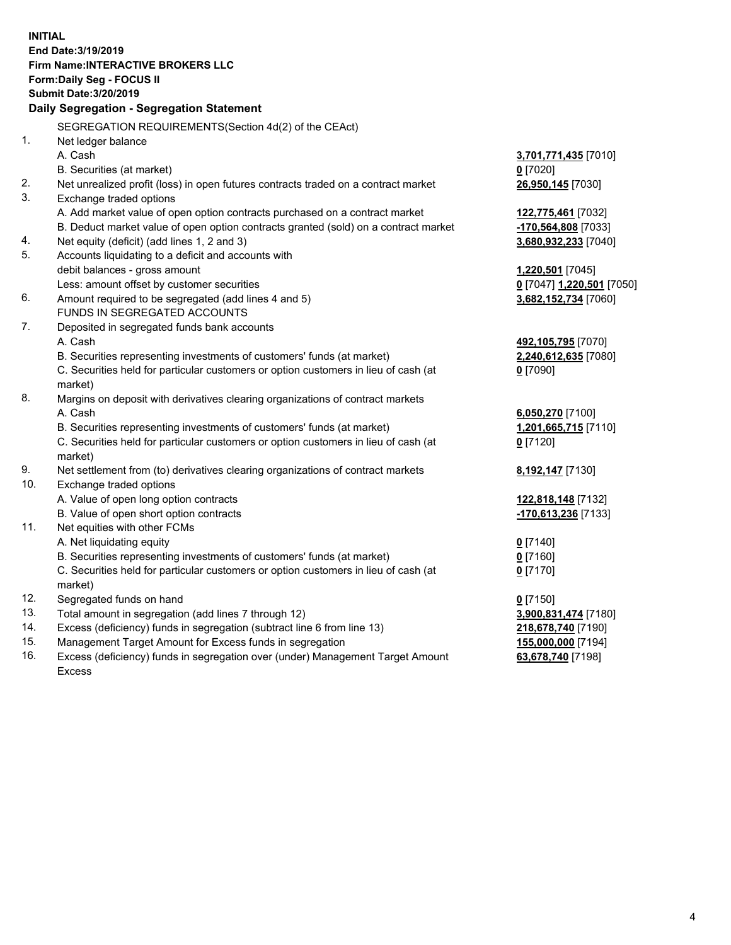**INITIAL End Date:3/19/2019 Firm Name:INTERACTIVE BROKERS LLC Form:Daily Seg - FOCUS II Submit Date:3/20/2019 Daily Segregation - Segregation Statement** SEGREGATION REQUIREMENTS(Section 4d(2) of the CEAct) 1. Net ledger balance A. Cash **3,701,771,435** [7010] B. Securities (at market) **0** [7020] 2. Net unrealized profit (loss) in open futures contracts traded on a contract market **26,950,145** [7030] 3. Exchange traded options A. Add market value of open option contracts purchased on a contract market **122,775,461** [7032] B. Deduct market value of open option contracts granted (sold) on a contract market **-170,564,808** [7033] 4. Net equity (deficit) (add lines 1, 2 and 3) **3,680,932,233** [7040] 5. Accounts liquidating to a deficit and accounts with debit balances - gross amount **1,220,501** [7045] Less: amount offset by customer securities **0** [7047] **1,220,501** [7050] 6. Amount required to be segregated (add lines 4 and 5) **3,682,152,734** [7060] FUNDS IN SEGREGATED ACCOUNTS 7. Deposited in segregated funds bank accounts A. Cash **492,105,795** [7070] B. Securities representing investments of customers' funds (at market) **2,240,612,635** [7080] C. Securities held for particular customers or option customers in lieu of cash (at market) **0** [7090] 8. Margins on deposit with derivatives clearing organizations of contract markets A. Cash **6,050,270** [7100] B. Securities representing investments of customers' funds (at market) **1,201,665,715** [7110] C. Securities held for particular customers or option customers in lieu of cash (at market) **0** [7120] 9. Net settlement from (to) derivatives clearing organizations of contract markets **8,192,147** [7130] 10. Exchange traded options A. Value of open long option contracts **122,818,148** [7132] B. Value of open short option contracts **-170,613,236** [7133] 11. Net equities with other FCMs A. Net liquidating equity **0** [7140] B. Securities representing investments of customers' funds (at market) **0** [7160] C. Securities held for particular customers or option customers in lieu of cash (at market) **0** [7170] 12. Segregated funds on hand **0** [7150] 13. Total amount in segregation (add lines 7 through 12) **3,900,831,474** [7180] 14. Excess (deficiency) funds in segregation (subtract line 6 from line 13) **218,678,740** [7190] 15. Management Target Amount for Excess funds in segregation **155,000,000** [7194]

16. Excess (deficiency) funds in segregation over (under) Management Target Amount Excess

**63,678,740** [7198]